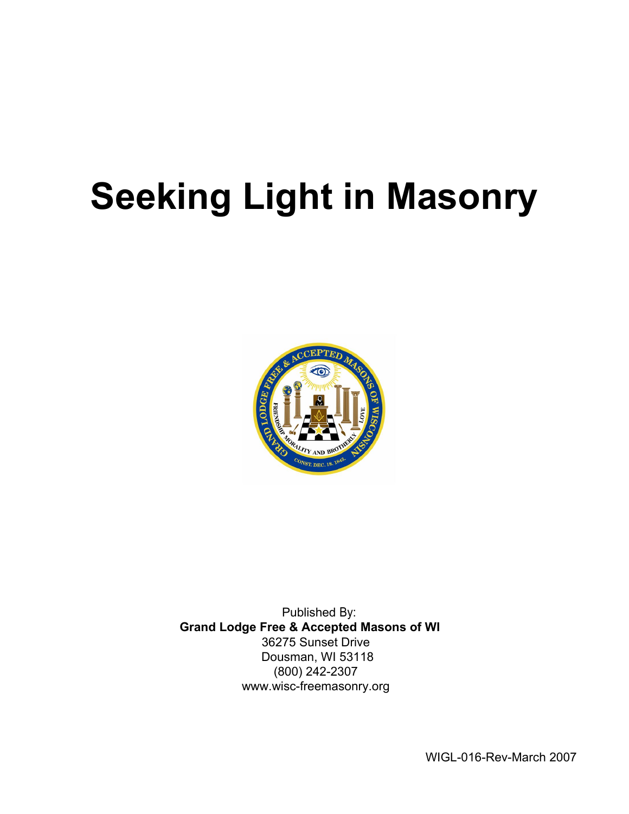# **Seeking Light in Masonry**



Published By: **Grand Lodge Free & Accepted Masons of WI**  36275 Sunset Drive Dousman, WI 53118 (800) 242-2307 www.wisc-freemasonry.org

WIGL-016-Rev-March 2007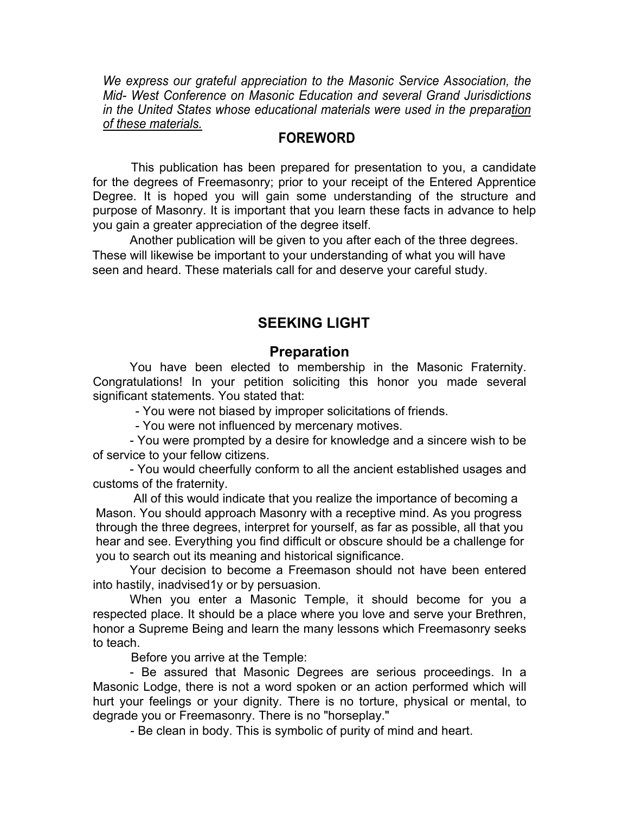*We express our grateful appreciation to the Masonic Service Association, the Mid- West Conference on Masonic Education and several Grand Jurisdictions in the United States whose educational materials were used in the preparation of these materials.* 

# **FOREWORD**

This publication has been prepared for presentation to you, a candidate for the degrees of Freemasonry; prior to your receipt of the Entered Apprentice Degree. It is hoped you will gain some understanding of the structure and purpose of Masonry. It is important that you learn these facts in advance to help you gain a greater appreciation of the degree itself.

Another publication will be given to you after each of the three degrees. These will likewise be important to your understanding of what you will have seen and heard. These materials call for and deserve your careful study.

# **SEEKING LIGHT**

# **Preparation**

You have been elected to membership in the Masonic Fraternity. Congratulations! In your petition soliciting this honor you made several significant statements. You stated that:

- You were not biased by improper solicitations of friends.

- You were not influenced by mercenary motives.

- You were prompted by a desire for knowledge and a sincere wish to be of service to your fellow citizens.

- You would cheerfully conform to all the ancient established usages and customs of the fraternity.

All of this would indicate that you realize the importance of becoming a Mason. You should approach Masonry with a receptive mind. As you progress through the three degrees, interpret for yourself, as far as possible, all that you hear and see. Everything you find difficult or obscure should be a challenge for you to search out its meaning and historical significance.

Your decision to become a Freemason should not have been entered into hastily, inadvised1y or by persuasion.

When you enter a Masonic Temple, it should become for you a respected place. It should be a place where you love and serve your Brethren, honor a Supreme Being and learn the many lessons which Freemasonry seeks to teach.

Before you arrive at the Temple:

- Be assured that Masonic Degrees are serious proceedings. In a Masonic Lodge, there is not a word spoken or an action performed which will hurt your feelings or your dignity. There is no torture, physical or mental, to degrade you or Freemasonry. There is no "horseplay."

- Be clean in body. This is symbolic of purity of mind and heart.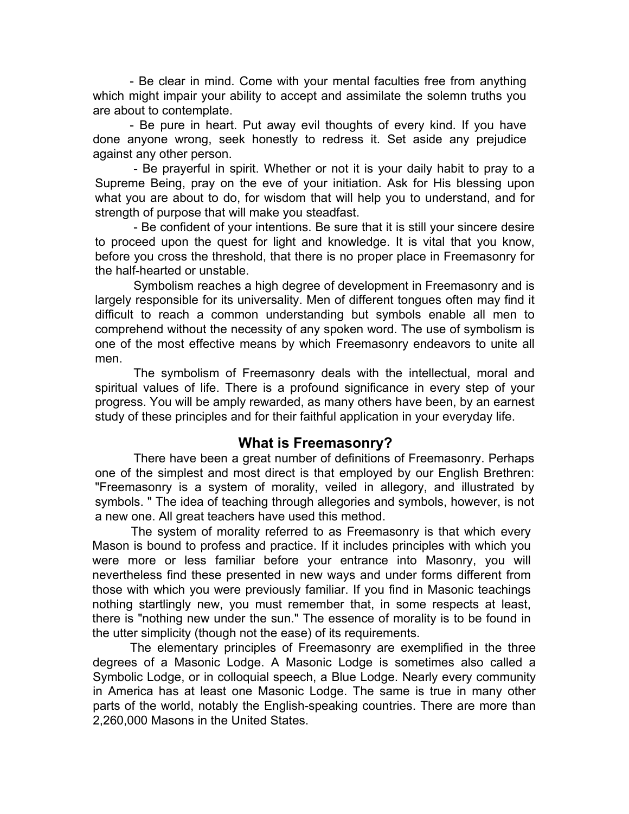- Be clear in mind. Come with your mental faculties free from anything which might impair your ability to accept and assimilate the solemn truths you are about to contemplate.

- Be pure in heart. Put away evil thoughts of every kind. If you have done anyone wrong, seek honestly to redress it. Set aside any prejudice against any other person.

- Be prayerful in spirit. Whether or not it is your daily habit to pray to a Supreme Being, pray on the eve of your initiation. Ask for His blessing upon what you are about to do, for wisdom that will help you to understand, and for strength of purpose that will make you steadfast.

- Be confident of your intentions. Be sure that it is still your sincere desire to proceed upon the quest for light and knowledge. It is vital that you know, before you cross the threshold, that there is no proper place in Freemasonry for the half-hearted or unstable.

Symbolism reaches a high degree of development in Freemasonry and is largely responsible for its universality. Men of different tongues often may find it difficult to reach a common understanding but symbols enable all men to comprehend without the necessity of any spoken word. The use of symbolism is one of the most effective means by which Freemasonry endeavors to unite all men.

The symbolism of Freemasonry deals with the intellectual, moral and spiritual values of life. There is a profound significance in every step of your progress. You will be amply rewarded, as many others have been, by an earnest study of these principles and for their faithful application in your everyday life.

#### **What is Freemasonry?**

There have been a great number of definitions of Freemasonry. Perhaps one of the simplest and most direct is that employed by our English Brethren: "Freemasonry is a system of morality, veiled in allegory, and illustrated by symbols. " The idea of teaching through allegories and symbols, however, is not a new one. All great teachers have used this method.

The system of morality referred to as Freemasonry is that which every Mason is bound to profess and practice. If it includes principles with which you were more or less familiar before your entrance into Masonry, you will nevertheless find these presented in new ways and under forms different from those with which you were previously familiar. If you find in Masonic teachings nothing startlingly new, you must remember that, in some respects at least, there is "nothing new under the sun." The essence of morality is to be found in the utter simplicity (though not the ease) of its requirements.

The elementary principles of Freemasonry are exemplified in the three degrees of a Masonic Lodge. A Masonic Lodge is sometimes also called a Symbolic Lodge, or in colloquial speech, a Blue Lodge. Nearly every community in America has at least one Masonic Lodge. The same is true in many other parts of the world, notably the English-speaking countries. There are more than 2,260,000 Masons in the United States.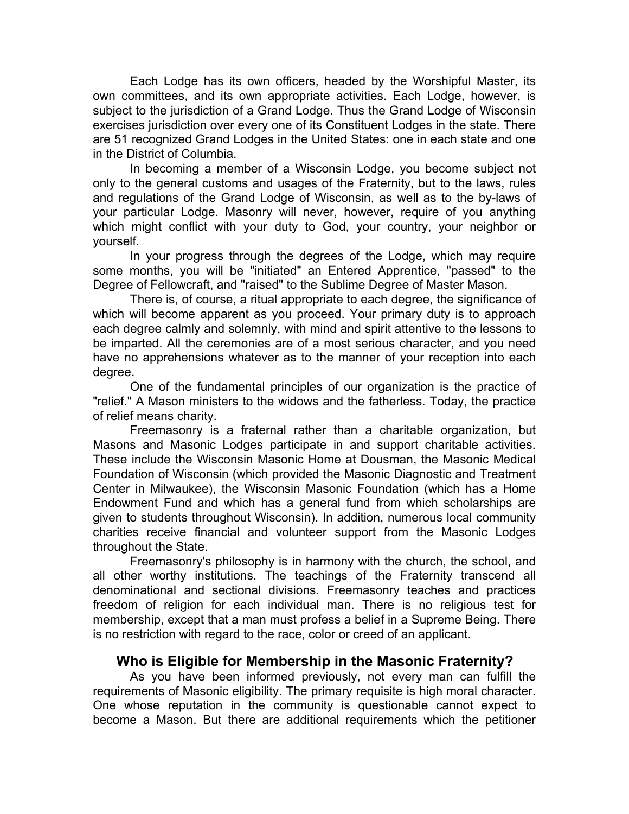Each Lodge has its own officers, headed by the Worshipful Master, its own committees, and its own appropriate activities. Each Lodge, however, is subject to the jurisdiction of a Grand Lodge. Thus the Grand Lodge of Wisconsin exercises jurisdiction over every one of its Constituent Lodges in the state. There are 51 recognized Grand Lodges in the United States: one in each state and one in the District of Columbia.

In becoming a member of a Wisconsin Lodge, you become subject not only to the general customs and usages of the Fraternity, but to the laws, rules and regulations of the Grand Lodge of Wisconsin, as well as to the by-laws of your particular Lodge. Masonry will never, however, require of you anything which might conflict with your duty to God, your country, your neighbor or yourself.

In your progress through the degrees of the Lodge, which may require some months, you will be "initiated" an Entered Apprentice, "passed" to the Degree of Fellowcraft, and "raised" to the Sublime Degree of Master Mason.

There is, of course, a ritual appropriate to each degree, the significance of which will become apparent as you proceed. Your primary duty is to approach each degree calmly and solemnly, with mind and spirit attentive to the lessons to be imparted. All the ceremonies are of a most serious character, and you need have no apprehensions whatever as to the manner of your reception into each degree.

One of the fundamental principles of our organization is the practice of "relief." A Mason ministers to the widows and the fatherless. Today, the practice of relief means charity.

Freemasonry is a fraternal rather than a charitable organization, but Masons and Masonic Lodges participate in and support charitable activities. These include the Wisconsin Masonic Home at Dousman, the Masonic Medical Foundation of Wisconsin (which provided the Masonic Diagnostic and Treatment Center in Milwaukee), the Wisconsin Masonic Foundation (which has a Home Endowment Fund and which has a general fund from which scholarships are given to students throughout Wisconsin). In addition, numerous local community charities receive financial and volunteer support from the Masonic Lodges throughout the State.

Freemasonry's philosophy is in harmony with the church, the school, and all other worthy institutions. The teachings of the Fraternity transcend all denominational and sectional divisions. Freemasonry teaches and practices freedom of religion for each individual man. There is no religious test for membership, except that a man must profess a belief in a Supreme Being. There is no restriction with regard to the race, color or creed of an applicant.

# **Who is Eligible for Membership in the Masonic Fraternity?**

As you have been informed previously, not every man can fulfill the requirements of Masonic eligibility. The primary requisite is high moral character. One whose reputation in the community is questionable cannot expect to become a Mason. But there are additional requirements which the petitioner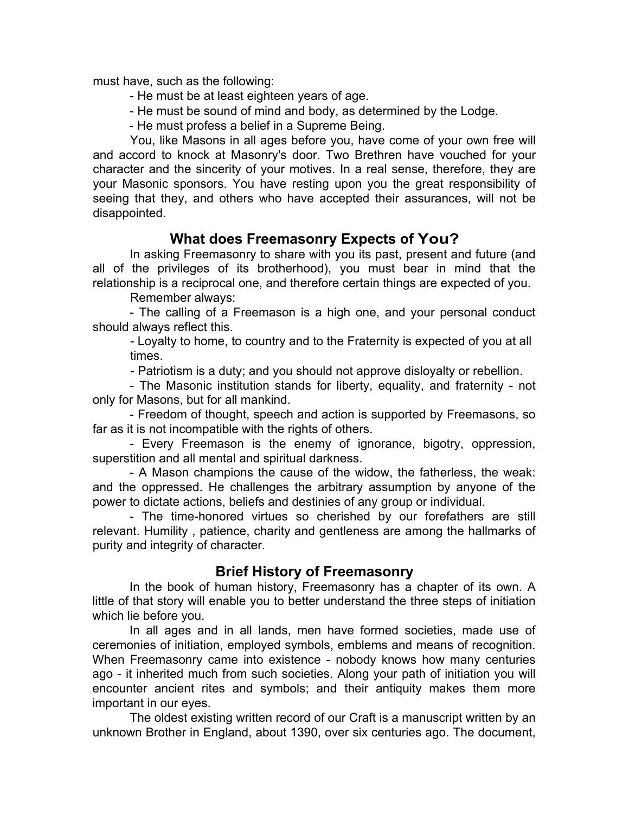must have, such as the following:

- He must be at least eighteen years of age.
- He must be sound of mind and body, as determined by the Lodge.
- He must profess a belief in a Supreme Being.

You, like Masons in all ages before you, have come of your own free will and accord to knock at Masonry's door. Two Brethren have vouched for your character and the sincerity of your motives. In a real sense, therefore, they are your Masonic sponsors. You have resting upon you the great responsibility of seeing that they, and others who have accepted their assurances, will not be disappointed.

# **What does Freemasonry Expects of You?**

In asking Freemasonry to share with you its past, present and future (and all of the privileges of its brotherhood), you must bear in mind that the relationship is a reciprocal one, and therefore certain things are expected of you.

Remember always:

- The calling of a Freemason is a high one, and your personal conduct should always reflect this.

- Loyalty to home, to country and to the Fraternity is expected of you at all times.

- Patriotism is a duty; and you should not approve disloyalty or rebellion.

- The Masonic institution stands for liberty, equality, and fraternity - not only for Masons, but for all mankind.

- Freedom of thought, speech and action is supported by Freemasons, so far as it is not incompatible with the rights of others.

- Every Freemason is the enemy of ignorance, bigotry, oppression, superstition and all mental and spiritual darkness.

- A Mason champions the cause of the widow, the fatherless, the weak: and the oppressed. He challenges the arbitrary assumption by anyone of the power to dictate actions, beliefs and destinies of any group or individual.

- The time-honored virtues so cherished by our forefathers are still relevant. Humility , patience, charity and gentleness are among the hallmarks of purity and integrity of character.

# **Brief History of Freemasonry**

In the book of human history, Freemasonry has a chapter of its own. A little of that story will enable you to better understand the three steps of initiation which lie before you.

In all ages and in all lands, men have formed societies, made use of ceremonies of initiation, employed symbols, emblems and means of recognition. When Freemasonry came into existence - nobody knows how many centuries ago - it inherited much from such societies. Along your path of initiation you will encounter ancient rites and symbols; and their antiquity makes them more important in our eyes.

The oldest existing written record of our Craft is a manuscript written by an unknown Brother in England, about 1390, over six centuries ago. The document,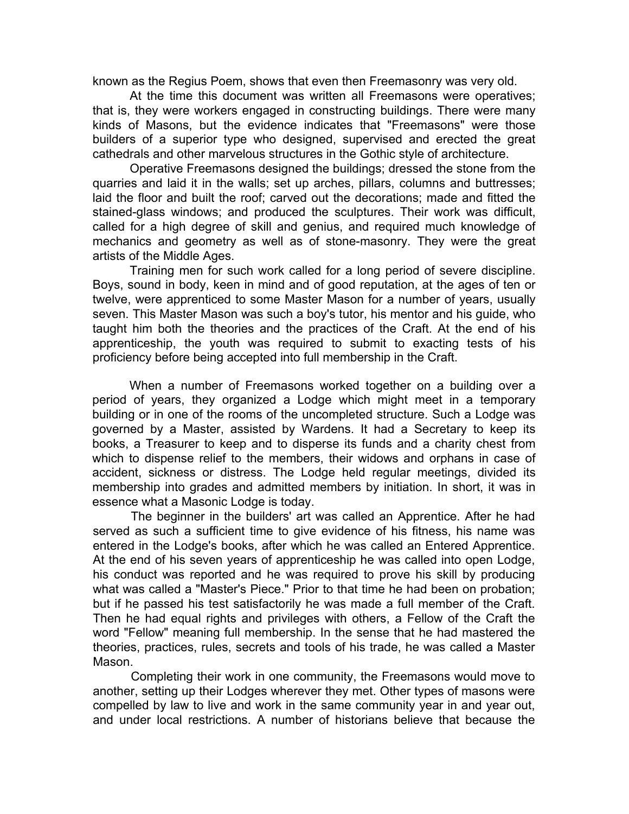known as the Regius Poem, shows that even then Freemasonry was very old.

At the time this document was written all Freemasons were operatives; that is, they were workers engaged in constructing buildings. There were many kinds of Masons, but the evidence indicates that "Freemasons" were those builders of a superior type who designed, supervised and erected the great cathedrals and other marvelous structures in the Gothic style of architecture.

Operative Freemasons designed the buildings; dressed the stone from the quarries and laid it in the walls; set up arches, pillars, columns and buttresses; laid the floor and built the roof; carved out the decorations; made and fitted the stained-glass windows; and produced the sculptures. Their work was difficult, called for a high degree of skill and genius, and required much knowledge of mechanics and geometry as well as of stone-masonry. They were the great artists of the Middle Ages.

Training men for such work called for a long period of severe discipline. Boys, sound in body, keen in mind and of good reputation, at the ages of ten or twelve, were apprenticed to some Master Mason for a number of years, usually seven. This Master Mason was such a boy's tutor, his mentor and his guide, who taught him both the theories and the practices of the Craft. At the end of his apprenticeship, the youth was required to submit to exacting tests of his proficiency before being accepted into full membership in the Craft.

When a number of Freemasons worked together on a building over a period of years, they organized a Lodge which might meet in a temporary building or in one of the rooms of the uncompleted structure. Such a Lodge was governed by a Master, assisted by Wardens. It had a Secretary to keep its books, a Treasurer to keep and to disperse its funds and a charity chest from which to dispense relief to the members, their widows and orphans in case of accident, sickness or distress. The Lodge held regular meetings, divided its membership into grades and admitted members by initiation. In short, it was in essence what a Masonic Lodge is today.

The beginner in the builders' art was called an Apprentice. After he had served as such a sufficient time to give evidence of his fitness, his name was entered in the Lodge's books, after which he was called an Entered Apprentice. At the end of his seven years of apprenticeship he was called into open Lodge, his conduct was reported and he was required to prove his skill by producing what was called a "Master's Piece." Prior to that time he had been on probation; but if he passed his test satisfactorily he was made a full member of the Craft. Then he had equal rights and privileges with others, a Fellow of the Craft the word "Fellow" meaning full membership. In the sense that he had mastered the theories, practices, rules, secrets and tools of his trade, he was called a Master Mason.

Completing their work in one community, the Freemasons would move to another, setting up their Lodges wherever they met. Other types of masons were compelled by law to live and work in the same community year in and year out, and under local restrictions. A number of historians believe that because the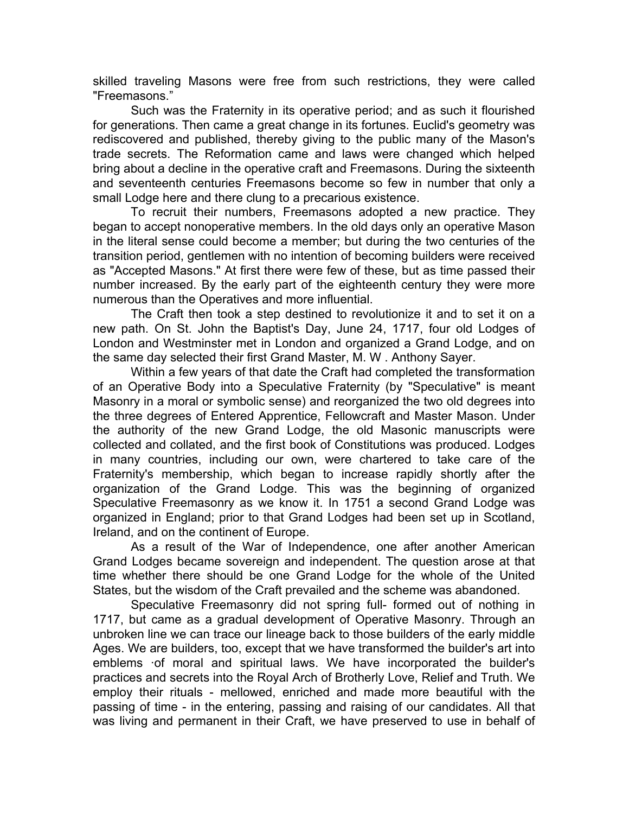skilled traveling Masons were free from such restrictions, they were called "Freemasons."

Such was the Fraternity in its operative period; and as such it flourished for generations. Then came a great change in its fortunes. Euclid's geometry was rediscovered and published, thereby giving to the public many of the Mason's trade secrets. The Reformation came and laws were changed which helped bring about a decline in the operative craft and Freemasons. During the sixteenth and seventeenth centuries Freemasons become so few in number that only a small Lodge here and there clung to a precarious existence.

To recruit their numbers, Freemasons adopted a new practice. They began to accept nonoperative members. In the old days only an operative Mason in the literal sense could become a member; but during the two centuries of the transition period, gentlemen with no intention of becoming builders were received as "Accepted Masons." At first there were few of these, but as time passed their number increased. By the early part of the eighteenth century they were more numerous than the Operatives and more influential.

The Craft then took a step destined to revolutionize it and to set it on a new path. On St. John the Baptist's Day, June 24, 1717, four old Lodges of London and Westminster met in London and organized a Grand Lodge, and on the same day selected their first Grand Master, M. W . Anthony Sayer.

Within a few years of that date the Craft had completed the transformation of an Operative Body into a Speculative Fraternity (by "Speculative" is meant Masonry in a moral or symbolic sense) and reorganized the two old degrees into the three degrees of Entered Apprentice, Fellowcraft and Master Mason. Under the authority of the new Grand Lodge, the old Masonic manuscripts were collected and collated, and the first book of Constitutions was produced. Lodges in many countries, including our own, were chartered to take care of the Fraternity's membership, which began to increase rapidly shortly after the organization of the Grand Lodge. This was the beginning of organized Speculative Freemasonry as we know it. In 1751 a second Grand Lodge was organized in England; prior to that Grand Lodges had been set up in Scotland, Ireland, and on the continent of Europe.

As a result of the War of Independence, one after another American Grand Lodges became sovereign and independent. The question arose at that time whether there should be one Grand Lodge for the whole of the United States, but the wisdom of the Craft prevailed and the scheme was abandoned.

Speculative Freemasonry did not spring full- formed out of nothing in 1717, but came as a gradual development of Operative Masonry. Through an unbroken line we can trace our lineage back to those builders of the early middle Ages. We are builders, too, except that we have transformed the builder's art into emblems ·of moral and spiritual laws. We have incorporated the builder's practices and secrets into the Royal Arch of Brotherly Love, Relief and Truth. We employ their rituals - mellowed, enriched and made more beautiful with the passing of time - in the entering, passing and raising of our candidates. All that was living and permanent in their Craft, we have preserved to use in behalf of